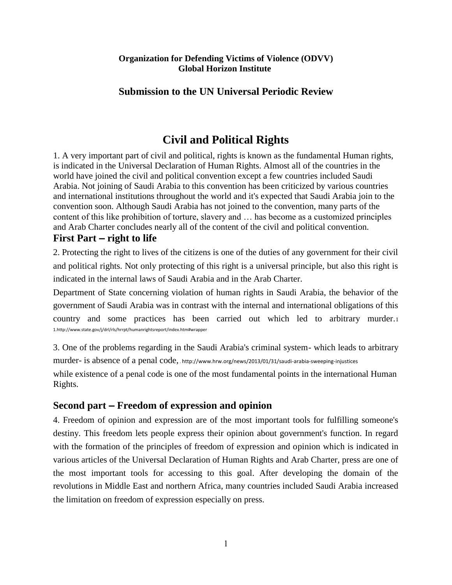#### **Organization for Defending Victims of Violence (ODVV) Global Horizon Institute**

### **Submission to the UN Universal Periodic Review**

## **Civil and Political Rights**

1. A very important part of civil and political, rights is known as the fundamental Human rights, is indicated in the Universal Declaration of Human Rights. Almost all of the countries in the world have joined the civil and political convention except a few countries included Saudi Arabia. Not joining of Saudi Arabia to this convention has been criticized by various countries and international institutions throughout the world and it's expected that Saudi Arabia join to the convention soon. Although Saudi Arabia has not joined to the convention, many parts of the content of this like prohibition of torture, slavery and … has become as a customized principles and Arab Charter concludes nearly all of the content of the civil and political convention.

### **First Part – right to life**

2. Protecting the right to lives of the citizens is one of the duties of any government for their civil and political rights. Not only protecting of this right is a universal principle, but also this right is indicated in the internal laws of Saudi Arabia and in the Arab Charter.

Department of State concerning violation of human rights in Saudi Arabia, the behavior of the government of Saudi Arabia was in contrast with the internal and international obligations of this country and some practices has been carried out which led to arbitrary murder.<sup>1</sup> 1.http://www.state.gov/j/drl/rls/hrrpt/humanrightsreport/index.htm#wrapper

3. One of the problems regarding in the Saudi Arabia's criminal system- which leads to arbitrary murder- is absence of a penal code, . http://www.hrw.org/news/2013/01/31/saudi-arabia-sweeping-injustices while existence of a penal code is one of the most fundamental points in the international Human Rights.

## **Second part – Freedom of expression and opinion**

4. Freedom of opinion and expression are of the most important tools for fulfilling someone's destiny. This freedom lets people express their opinion about government's function. In regard with the formation of the principles of freedom of expression and opinion which is indicated in various articles of the Universal Declaration of Human Rights and Arab Charter, press are one of the most important tools for accessing to this goal. After developing the domain of the revolutions in Middle East and northern Africa, many countries included Saudi Arabia increased the limitation on freedom of expression especially on press.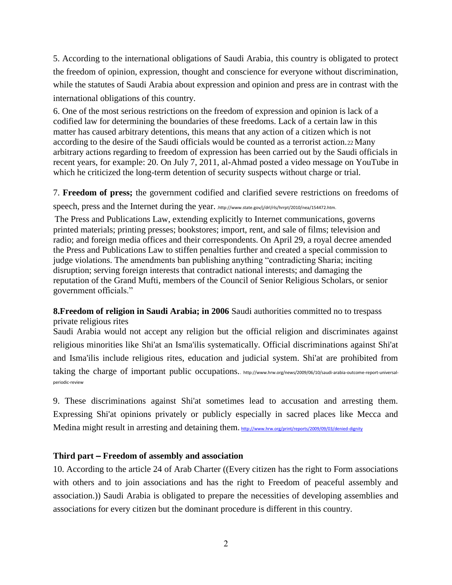5. According to the international obligations of Saudi Arabia, this country is obligated to protect the freedom of opinion, expression, thought and conscience for everyone without discrimination, while the statutes of Saudi Arabia about expression and opinion and press are in contrast with the international obligations of this country.

6. One of the most serious restrictions on the freedom of expression and opinion is lack of a codified law for determining the boundaries of these freedoms. Lack of a certain law in this matter has caused arbitrary detentions, this means that any action of a citizen which is not according to the desire of the Saudi officials would be counted as a terrorist action.22 Many arbitrary actions regarding to freedom of expression has been carried out by the Saudi officials in recent years, for example: 20. On July 7, 2011, al-Ahmad posted a video message on YouTube in which he criticized the long-term detention of security suspects without charge or trial.

7. **Freedom of press;** the government codified and clarified severe restrictions on freedoms of

speech, press and the Internet during the year. .http://www.state.gov/j/drl/rls/hrrpt/2010/nea/154472.htm.

The Press and Publications Law, extending explicitly to Internet communications, governs printed materials; printing presses; bookstores; import, rent, and sale of films; television and radio; and foreign media offices and their correspondents. On April 29, a royal decree amended the Press and Publications Law to stiffen penalties further and created a special commission to judge violations. The amendments ban publishing anything "contradicting Sharia; inciting disruption; serving foreign interests that contradict national interests; and damaging the reputation of the Grand Mufti, members of the Council of Senior Religious Scholars, or senior government officials."

**8.Freedom of religion in Saudi Arabia; in 2006** Saudi authorities committed no to trespass private religious rites

Saudi Arabia would not accept any religion but the official religion and discriminates against religious minorities like Shi'at an Isma'ilis systematically. Official discriminations against Shi'at and Isma'ilis include religious rites, education and judicial system. Shi'at are prohibited from taking the charge of important public occupations.. http://www.hrw.org/news/2009/06/10/saudi-arabia-outcome-report-universalperiodic-review

9. These discriminations against Shi'at sometimes lead to accusation and arresting them. Expressing Shi'at opinions privately or publicly especially in sacred places like Mecca and Medina might result in arresting and detaining them. <http://www.hrw.org/print/reports/2009/09/03/denied-dignity>

#### **Third part – Freedom of assembly and association**

10. According to the article 24 of Arab Charter ((Every citizen has the right to Form associations with others and to join associations and has the right to Freedom of peaceful assembly and association.)) Saudi Arabia is obligated to prepare the necessities of developing assemblies and associations for every citizen but the dominant procedure is different in this country.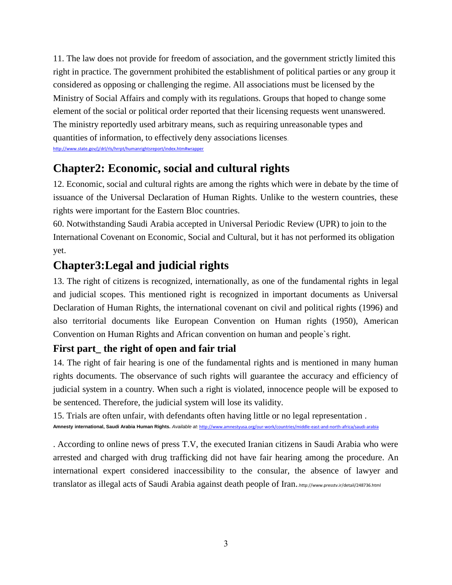11. The law does not provide for freedom of association, and the government strictly limited this right in practice. The government prohibited the establishment of political parties or any group it considered as opposing or challenging the regime. All associations must be licensed by the Ministry of Social Affairs and comply with its regulations. Groups that hoped to change some element of the social or political order reported that their licensing requests went unanswered. The ministry reportedly used arbitrary means, such as requiring unreasonable types and quantities of information, to effectively deny associations licenses. http://www.state.gov/j/drl/rls/hrrpt/humanrightsreport/index.htm#wra

## **Chapter2: Economic, social and cultural rights**

12. Economic, social and cultural rights are among the rights which were in debate by the time of issuance of the Universal Declaration of Human Rights. Unlike to the western countries, these rights were important for the Eastern Bloc countries.

60. Notwithstanding Saudi Arabia accepted in Universal Periodic Review (UPR) to join to the International Covenant on Economic, Social and Cultural, but it has not performed its obligation yet.

# **Chapter3:Legal and judicial rights**

13. The right of citizens is recognized, internationally, as one of the fundamental rights in legal and judicial scopes. This mentioned right is recognized in important documents as Universal Declaration of Human Rights, the international covenant on civil and political rights (1996) and also territorial documents like European Convention on Human rights (1950), American Convention on Human Rights and African convention on human and people`s right.

## **First part\_ the right of open and fair trial**

14. The right of fair hearing is one of the fundamental rights and is mentioned in many human rights documents. The observance of such rights will guarantee the accuracy and efficiency of judicial system in a country. When such a right is violated, innocence people will be exposed to be sentenced. Therefore, the judicial system will lose its validity.

15. Trials are often unfair, with defendants often having little or no legal representation . **Amnesty international, Saudi Arabia Human Rights.** *Available at*[: http://www.amnestyusa.org/our-work/countries/middle-east-and-north-africa/saudi-arabia](http://www.amnestyusa.org/our-work/countries/middle-east-and-north-africa/saudi-arabia)

. According to online news of press T.V, the executed Iranian citizens in Saudi Arabia who were arrested and charged with drug trafficking did not have fair hearing among the procedure. An international expert considered inaccessibility to the consular, the absence of lawyer and translator as illegal acts of Saudi Arabia against death people of Iran..http://www.presstv.ir/detail/248736.html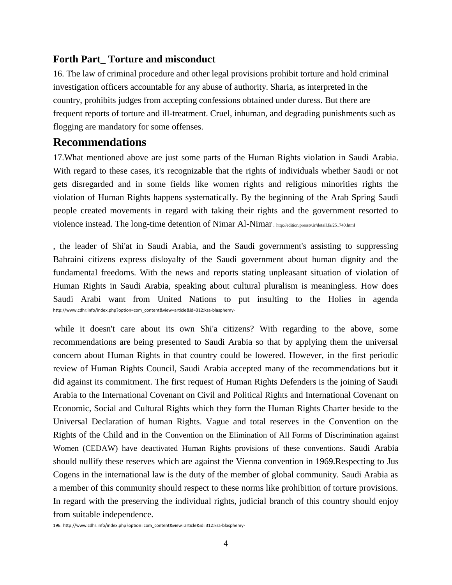### **Forth Part\_ Torture and misconduct**

16. The law of criminal procedure and other legal provisions prohibit torture and hold criminal investigation officers accountable for any abuse of authority. Sharia, as interpreted in the country, prohibits judges from accepting confessions obtained under duress. But there are frequent reports of torture and ill-treatment. Cruel, inhuman, and degrading punishments such as flogging are mandatory for some offenses.

## **Recommendations**

17.What mentioned above are just some parts of the Human Rights violation in Saudi Arabia. With regard to these cases, it's recognizable that the rights of individuals whether Saudi or not gets disregarded and in some fields like women rights and religious minorities rights the violation of Human Rights happens systematically. By the beginning of the Arab Spring Saudi people created movements in regard with taking their rights and the government resorted to violence instead. The long-time detention of Nimar Al-Nimar. http://edition.presstv.ir/detail.fa/251740.html

, the leader of Shi'at in Saudi Arabia, and the Saudi government's assisting to suppressing Bahraini citizens express disloyalty of the Saudi government about human dignity and the fundamental freedoms. With the news and reports stating unpleasant situation of violation of Human Rights in Saudi Arabia, speaking about cultural pluralism is meaningless. How does Saudi Arabi want from United Nations to put insulting to the Holies in agenda http://www.cdhr.info/index.php?option=com\_content&view=article&id=312:ksa-blasphemy-

while it doesn't care about its own Shi'a citizens? With regarding to the above, some recommendations are being presented to Saudi Arabia so that by applying them the universal concern about Human Rights in that country could be lowered. However, in the first periodic review of Human Rights Council, Saudi Arabia accepted many of the recommendations but it did against its commitment. The first request of Human Rights Defenders is the joining of Saudi Arabia to the International Covenant on Civil and Political Rights and International Covenant on Economic, Social and Cultural Rights which they form the Human Rights Charter beside to the Universal Declaration of human Rights. Vague and total reserves in the Convention on the Rights of the Child and in the Convention on the Elimination of All Forms of Discrimination against Women (CEDAW) have deactivated Human Rights provisions of these conventions. Saudi Arabia should nullify these reserves which are against the Vienna convention in 1969.Respecting to Jus Cogens in the international law is the duty of the member of global community. Saudi Arabia as a member of this community should respect to these norms like prohibition of torture provisions. In regard with the preserving the individual rights, judicial branch of this country should enjoy from suitable independence.

196. http://www.cdhr.info/index.php?option=com\_content&view=article&id=312:ksa-blasphemy-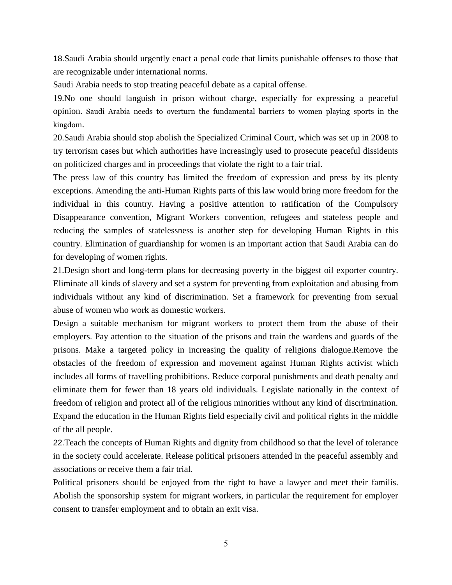18.Saudi Arabia should urgently enact a penal code that limits punishable offenses to those that are recognizable under international norms.

Saudi Arabia needs to stop treating peaceful debate as a capital offense.

19.No one should languish in prison without charge, especially for expressing a peaceful opinion. Saudi Arabia needs to overturn the fundamental barriers to women playing sports in the kingdom.

20.Saudi Arabia should stop abolish the Specialized Criminal Court, which was set up in 2008 to try terrorism cases but which authorities have increasingly used to prosecute peaceful dissidents on politicized charges and in proceedings that violate the right to a fair trial.

The press law of this country has limited the freedom of expression and press by its plenty exceptions. Amending the anti-Human Rights parts of this law would bring more freedom for the individual in this country. Having a positive attention to ratification of the Compulsory Disappearance convention, Migrant Workers convention, refugees and stateless people and reducing the samples of statelessness is another step for developing Human Rights in this country. Elimination of guardianship for women is an important action that Saudi Arabia can do for developing of women rights.

21.Design short and long-term plans for decreasing poverty in the biggest oil exporter country. Eliminate all kinds of slavery and set a system for preventing from exploitation and abusing from individuals without any kind of discrimination. Set a framework for preventing from sexual abuse of women who work as domestic workers.

Design a suitable mechanism for migrant workers to protect them from the abuse of their employers. Pay attention to the situation of the prisons and train the wardens and guards of the prisons. Make a targeted policy in increasing the quality of religions dialogue.Remove the obstacles of the freedom of expression and movement against Human Rights activist which includes all forms of travelling prohibitions. Reduce corporal punishments and death penalty and eliminate them for fewer than 18 years old individuals. Legislate nationally in the context of freedom of religion and protect all of the religious minorities without any kind of discrimination. Expand the education in the Human Rights field especially civil and political rights in the middle of the all people.

22.Teach the concepts of Human Rights and dignity from childhood so that the level of tolerance in the society could accelerate. Release political prisoners attended in the peaceful assembly and associations or receive them a fair trial.

Political prisoners should be enjoyed from the right to have a lawyer and meet their familis. Abolish the sponsorship system for migrant workers, in particular the requirement for employer consent to transfer employment and to obtain an exit visa.